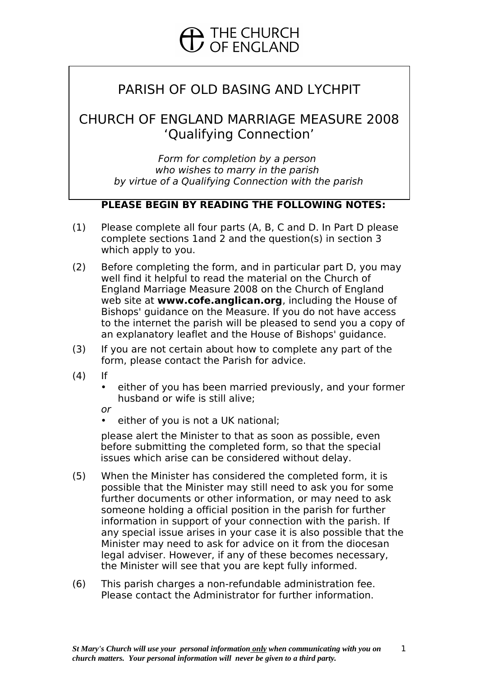# PARISH OF OLD BASING AND LYCHPIT

## CHURCH OF ENGLAND MARRIAGE MEASURE 2008 'Qualifying Connection'

Form for completion by a person who wishes to marry in the parish by virtue of a Qualifying Connection with the parish

## **PLEASE BEGIN BY READING THE FOLLOWING NOTES:**

- (1) Please complete all four parts (A, B, C and D. In Part D please complete sections 1and 2 and the question(s) in section 3 which apply to you.
- (2) Before completing the form, and in particular part D, you may well find it helpful to read the material on the Church of England Marriage Measure 2008 on the Church of England web site at **www.cofe.anglican.org**, including the House of Bishops' guidance on the Measure. If you do not have access to the internet the parish will be pleased to send you a copy of an explanatory leaflet and the House of Bishops' guidance.
- (3) If you are not certain about how to complete any part of the form, please contact the Parish for advice.
- (4) If
	- either of you has been married previously, and your former husband or wife is still alive;

or

• either of you is not a UK national;

please alert the Minister to that as soon as possible, even before submitting the completed form, so that the special issues which arise can be considered without delay.

- (5) When the Minister has considered the completed form, it is possible that the Minister may still need to ask you for some further documents or other information, or may need to ask someone holding a official position in the parish for further information in support of your connection with the parish. If any special issue arises in your case it is also possible that the Minister may need to ask for advice on it from the diocesan legal adviser. However, if any of these becomes necessary, the Minister will see that you are kept fully informed.
- (6) This parish charges a non-refundable administration fee. Please contact the Administrator for further information.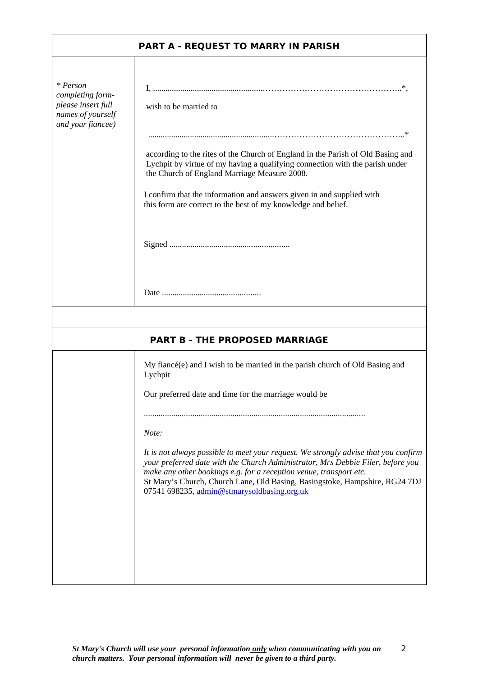|                                                                                              | <b>PART A - REQUEST TO MARRY IN PARISH</b>                                                                                                                                                                                                                                                                                                                                 |
|----------------------------------------------------------------------------------------------|----------------------------------------------------------------------------------------------------------------------------------------------------------------------------------------------------------------------------------------------------------------------------------------------------------------------------------------------------------------------------|
|                                                                                              |                                                                                                                                                                                                                                                                                                                                                                            |
| * Person<br>completing form-<br>please insert full<br>names of yourself<br>and your fiancee) | wish to be married to                                                                                                                                                                                                                                                                                                                                                      |
|                                                                                              | according to the rites of the Church of England in the Parish of Old Basing and<br>Lychpit by virtue of my having a qualifying connection with the parish under<br>the Church of England Marriage Measure 2008.                                                                                                                                                            |
|                                                                                              | I confirm that the information and answers given in and supplied with<br>this form are correct to the best of my knowledge and belief.                                                                                                                                                                                                                                     |
|                                                                                              |                                                                                                                                                                                                                                                                                                                                                                            |
|                                                                                              |                                                                                                                                                                                                                                                                                                                                                                            |
|                                                                                              | <b>PART B - THE PROPOSED MARRIAGE</b>                                                                                                                                                                                                                                                                                                                                      |
|                                                                                              | My fiancé(e) and I wish to be married in the parish church of Old Basing and<br>Lychpit                                                                                                                                                                                                                                                                                    |
|                                                                                              | Our preferred date and time for the marriage would be                                                                                                                                                                                                                                                                                                                      |
|                                                                                              | Note:                                                                                                                                                                                                                                                                                                                                                                      |
|                                                                                              | It is not always possible to meet your request. We strongly advise that you confirm<br>your preferred date with the Church Administrator, Mrs Debbie Filer, before you<br>make any other bookings e.g. for a reception venue, transport etc.<br>St Mary's Church, Church Lane, Old Basing, Basingstoke, Hampshire, RG24 7DJ<br>07541 698235, admin@stmarysoldbasing.org.uk |
|                                                                                              |                                                                                                                                                                                                                                                                                                                                                                            |
|                                                                                              |                                                                                                                                                                                                                                                                                                                                                                            |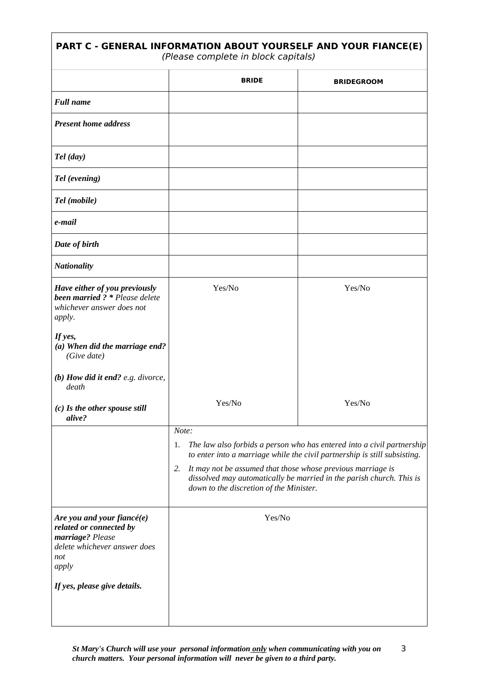| PART C - GENERAL INFORMATION ABOUT YOURSELF AND YOUR FIANCE(E)<br>(Please complete in block capitals)                     |                                                                                                                                                                                                                                                                   |                                                                        |  |
|---------------------------------------------------------------------------------------------------------------------------|-------------------------------------------------------------------------------------------------------------------------------------------------------------------------------------------------------------------------------------------------------------------|------------------------------------------------------------------------|--|
|                                                                                                                           | <b>BRIDE</b>                                                                                                                                                                                                                                                      | <b>BRIDEGROOM</b>                                                      |  |
| <b>Full name</b>                                                                                                          |                                                                                                                                                                                                                                                                   |                                                                        |  |
| <b>Present home address</b>                                                                                               |                                                                                                                                                                                                                                                                   |                                                                        |  |
| Tel (day)                                                                                                                 |                                                                                                                                                                                                                                                                   |                                                                        |  |
| <b>Tel (evening)</b>                                                                                                      |                                                                                                                                                                                                                                                                   |                                                                        |  |
| Tel (mobile)                                                                                                              |                                                                                                                                                                                                                                                                   |                                                                        |  |
| e-mail                                                                                                                    |                                                                                                                                                                                                                                                                   |                                                                        |  |
| Date of birth                                                                                                             |                                                                                                                                                                                                                                                                   |                                                                        |  |
| <b>Nationality</b>                                                                                                        |                                                                                                                                                                                                                                                                   |                                                                        |  |
| Have either of you previously<br>been married ? * Please delete<br>whichever answer does not<br>apply.                    | Yes/No                                                                                                                                                                                                                                                            | Yes/No                                                                 |  |
| If yes,<br>(a) When did the marriage end?<br>(Give date)                                                                  |                                                                                                                                                                                                                                                                   |                                                                        |  |
| (b) How did it end? e.g. divorce,<br>death                                                                                |                                                                                                                                                                                                                                                                   |                                                                        |  |
| (c) Is the other spouse still<br>alive?                                                                                   | Yes/No                                                                                                                                                                                                                                                            | Yes/No                                                                 |  |
|                                                                                                                           | Note:<br>1.                                                                                                                                                                                                                                                       | The law also forbids a person who has entered into a civil partnership |  |
|                                                                                                                           | to enter into a marriage while the civil partnership is still subsisting.<br>It may not be assumed that those whose previous marriage is<br>2.<br>dissolved may automatically be married in the parish church. This is<br>down to the discretion of the Minister. |                                                                        |  |
| Are you and your fiancé(e)<br>related or connected by<br>marriage? Please<br>delete whichever answer does<br>not<br>apply | Yes/No                                                                                                                                                                                                                                                            |                                                                        |  |
| If yes, please give details.                                                                                              |                                                                                                                                                                                                                                                                   |                                                                        |  |

*St Mary's Church will use your personal information only when communicating with you on church matters. Your personal information will never be given to a third party.* 3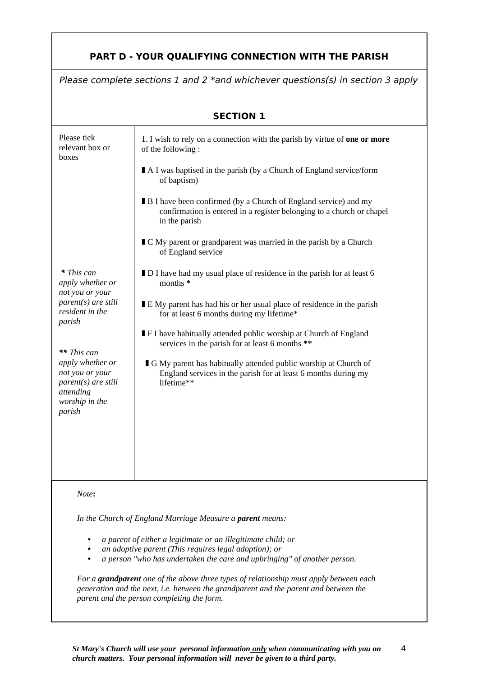## **PART D - YOUR QUALIFYING CONNECTION WITH THE PARISH**

| Please complete sections 1 and 2 *and whichever questions(s) in section 3 apply                                                                                                                                             |                                                                                                                                                                                                                                                                                                                                                                                                                                                                                              |  |
|-----------------------------------------------------------------------------------------------------------------------------------------------------------------------------------------------------------------------------|----------------------------------------------------------------------------------------------------------------------------------------------------------------------------------------------------------------------------------------------------------------------------------------------------------------------------------------------------------------------------------------------------------------------------------------------------------------------------------------------|--|
| <b>SECTION 1</b>                                                                                                                                                                                                            |                                                                                                                                                                                                                                                                                                                                                                                                                                                                                              |  |
| Please tick<br>relevant box or<br>boxes                                                                                                                                                                                     | 1. I wish to rely on a connection with the parish by virtue of one or more<br>of the following:<br>■ A I was baptised in the parish (by a Church of England service/form<br>of baptism)<br>■ B I have been confirmed (by a Church of England service) and my<br>confirmation is entered in a register belonging to a church or chapel<br>in the parish<br>■ C My parent or grandparent was married in the parish by a Church<br>of England service                                           |  |
| * This can<br>apply whether or<br>not you or your<br>parent(s) are still<br>resident in the<br>parish<br>** This can<br>apply whether or<br>not you or your<br>parent(s) are still<br>attending<br>worship in the<br>parish | ■ D I have had my usual place of residence in the parish for at least 6<br>months *<br>■ E My parent has had his or her usual place of residence in the parish<br>for at least 6 months during my lifetime*<br><b>F</b> I have habitually attended public worship at Church of England<br>services in the parish for at least 6 months **<br>G My parent has habitually attended public worship at Church of<br>England services in the parish for at least 6 months during my<br>lifetime** |  |
| Note:                                                                                                                                                                                                                       |                                                                                                                                                                                                                                                                                                                                                                                                                                                                                              |  |
|                                                                                                                                                                                                                             | In the Church of England Marriage Measure a parent means:                                                                                                                                                                                                                                                                                                                                                                                                                                    |  |

- *• a parent of either a legitimate or an illegitimate child; or*
- *• an adoptive parent (This requires legal adoption); or*
- *• a person "who has undertaken the care and upbringing" of another person.*

*For a grandparent one of the above three types of relationship must apply between each generation and the next, i.e. between the grandparent and the parent and between the parent and the person completing the form.*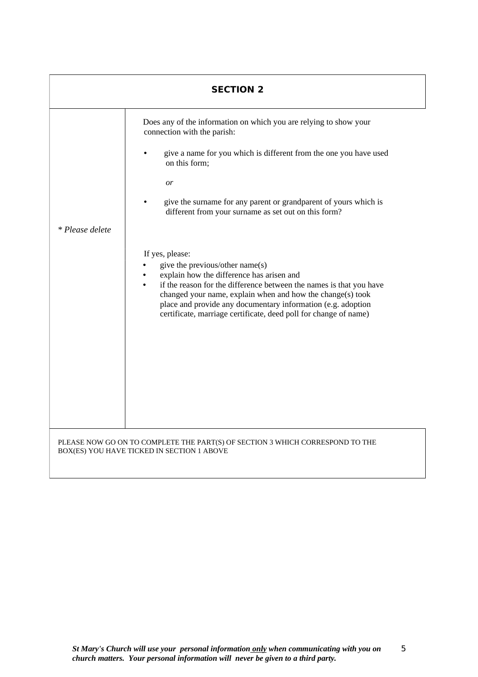|                 | <b>SECTION 2</b>                                                                                                                                                                                                                                                                                                                                                                                                                                                                                                                                                                                                                                                                                                  |
|-----------------|-------------------------------------------------------------------------------------------------------------------------------------------------------------------------------------------------------------------------------------------------------------------------------------------------------------------------------------------------------------------------------------------------------------------------------------------------------------------------------------------------------------------------------------------------------------------------------------------------------------------------------------------------------------------------------------------------------------------|
| * Please delete | Does any of the information on which you are relying to show your<br>connection with the parish:<br>give a name for you which is different from the one you have used<br>on this form;<br>or<br>give the surname for any parent or grandparent of yours which is<br>different from your surname as set out on this form?<br>If yes, please:<br>give the previous/other name(s)<br>explain how the difference has arisen and<br>if the reason for the difference between the names is that you have<br>$\bullet$<br>changed your name, explain when and how the change(s) took<br>place and provide any documentary information (e.g. adoption<br>certificate, marriage certificate, deed poll for change of name) |
|                 | PLEASE NOW GO ON TO COMPLETE THE PART(S) OF SECTION 3 WHICH CORRESPOND TO THE<br>BOX(ES) YOU HAVE TICKED IN SECTION 1 ABOVE                                                                                                                                                                                                                                                                                                                                                                                                                                                                                                                                                                                       |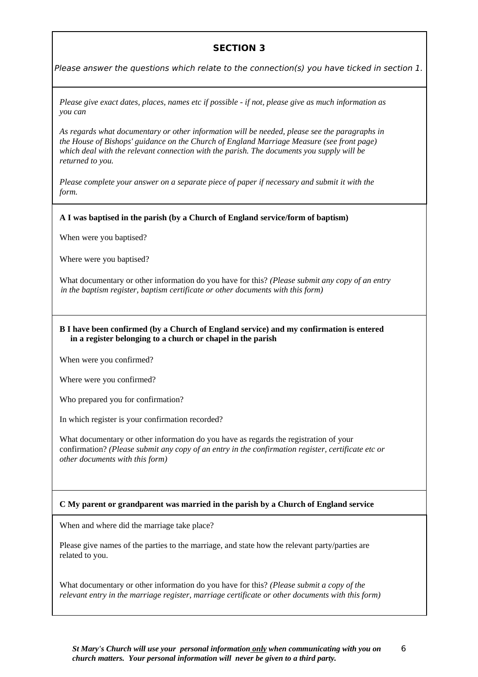## **SECTION 3**

Please answer the questions which relate to the connection(s) you have ticked in section 1.

*Please give exact dates, places, names etc if possible - if not, please give as much information as you can*

*As regards what documentary or other information will be needed, please see the paragraphs in the House of Bishops' guidance on the Church of England Marriage Measure (see front page) which deal with the relevant connection with the parish. The documents you supply will be returned to you.*

*Please complete your answer on a separate piece of paper if necessary and submit it with the form.*

#### **A I was baptised in the parish (by a Church of England service/form of baptism)**

When were you baptised?

Where were you baptised?

What documentary or other information do you have for this? *(Please submit any copy of an entry in the baptism register, baptism certificate or other documents with this form)*

#### **B I have been confirmed (by a Church of England service) and my confirmation is entered in a register belonging to a church or chapel in the parish**

When were you confirmed?

Where were you confirmed?

Who prepared you for confirmation?

In which register is your confirmation recorded?

What documentary or other information do you have as regards the registration of your confirmation? *(Please submit any copy of an entry in the confirmation register, certificate etc or other documents with this form)*

### **C My parent or grandparent was married in the parish by a Church of England service**

When and where did the marriage take place?

Please give names of the parties to the marriage, and state how the relevant party/parties are related to you.

What documentary or other information do you have for this? *(Please submit a copy of the relevant entry in the marriage register, marriage certificate or other documents with this form)*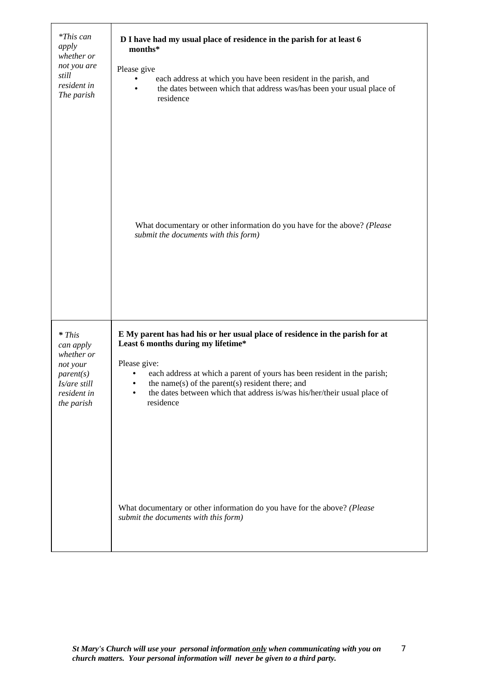| *This can<br>apply<br>whether or<br>not you are<br>still<br>resident in<br>The parish                   | D I have had my usual place of residence in the parish for at least 6<br>months*<br>Please give<br>each address at which you have been resident in the parish, and<br>the dates between which that address was/has been your usual place of<br>$\bullet$<br>residence                                                                                       |
|---------------------------------------------------------------------------------------------------------|-------------------------------------------------------------------------------------------------------------------------------------------------------------------------------------------------------------------------------------------------------------------------------------------------------------------------------------------------------------|
|                                                                                                         | What documentary or other information do you have for the above? (Please<br>submit the documents with this form)                                                                                                                                                                                                                                            |
| * This<br>can apply<br>whether or<br>not your<br>parent(s)<br>Is/are still<br>resident in<br>the parish | E My parent has had his or her usual place of residence in the parish for at<br>Least 6 months during my lifetime*<br>Please give:<br>each address at which a parent of yours has been resident in the parish;<br>the name(s) of the parent(s) resident there; and<br>the dates between which that address is/was his/her/their usual place of<br>residence |
|                                                                                                         | What documentary or other information do you have for the above? (Please<br>submit the documents with this form)                                                                                                                                                                                                                                            |